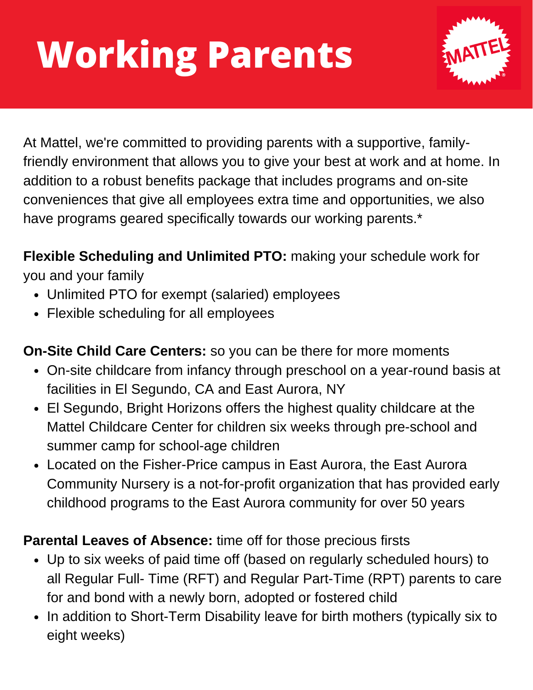# **Working Parents**



At Mattel, we're committed to providing parents with a supportive, familyfriendly environment that allows you to give your best at work and at home. In addition to a robust benefits package that includes programs and on-site conveniences that give all employees extra time and opportunities, we also have programs geared specifically towards our working parents.\*

**Flexible Scheduling and Unlimited PTO:** making your schedule work for you and your family

- Unlimited PTO for exempt (salaried) employees
- Flexible scheduling for all employees

**On-Site Child Care Centers:** so you can be there for more moments

- On-site childcare from infancy through preschool on a year-round basis at facilities in El Segundo, CA and East Aurora, NY
- El Segundo, Bright Horizons offers the highest quality childcare at the Mattel Childcare Center for children six weeks through pre-school and summer camp for school-age children
- Located on the Fisher-Price campus in East Aurora, the East Aurora Community Nursery is a not-for-profit organization that has provided early childhood programs to the East Aurora community for over 50 years

### **Parental Leaves of Absence:** time off for those precious firsts

- Up to six weeks of paid time off (based on regularly scheduled hours) to all Regular Full- Time (RFT) and Regular Part-Time (RPT) parents to care for and bond with a newly born, adopted or fostered child
- In addition to Short-Term Disability leave for birth mothers (typically six to eight weeks)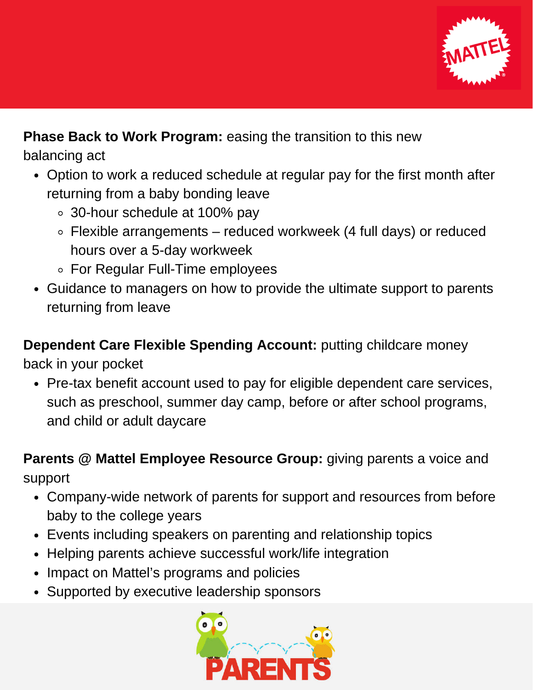

#### **Phase Back to Work Program:** easing the transition to this new

balancing act

- Option to work a reduced schedule at regular pay for the first month after returning from a baby bonding leave
	- 30-hour schedule at 100% pay
	- Flexible arrangements reduced workweek (4 full days) or reduced hours over a 5-day workweek
	- For Regular Full-Time employees
- Guidance to managers on how to provide the ultimate support to parents returning from leave

## **Dependent Care Flexible Spending Account:** putting childcare money

back in your pocket

Pre-tax benefit account used to pay for eligible dependent care services, such as preschool, summer day camp, before or after school programs, and child or adult daycare

**Parents @ Mattel Employee Resource Group:** giving parents a voice and support

- Company-wide network of parents for support and resources from before baby to the college years
- Events including speakers on parenting and relationship topics
- Helping parents achieve successful work/life integration
- Impact on Mattel's programs and policies
- Supported by executive leadership sponsors

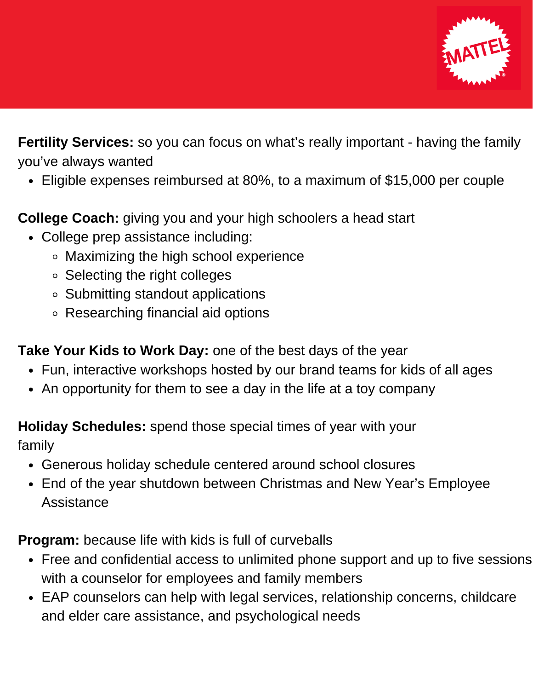

**Fertility Services:** so you can focus on what's really important - having the family you've always wanted

Eligible expenses reimbursed at 80%, to a maximum of \$15,000 per couple

**College Coach:** giving you and your high schoolers a head start

- College prep assistance including:
	- Maximizing the high school experience
	- $\circ$  Selecting the right colleges
	- Submitting standout applications
	- Researching financial aid options

**Take Your Kids to Work Day:** one of the best days of the year

- Fun, interactive workshops hosted by our brand teams for kids of all ages
- An opportunity for them to see a day in the life at a toy company

**Holiday Schedules:** spend those special times of year with your

family

- Generous holiday schedule centered around school closures
- End of the year shutdown between Christmas and New Year's Employee Assistance

**Program:** because life with kids is full of curveballs

- Free and confidential access to unlimited phone support and up to five sessions with a counselor for employees and family members
- EAP counselors can help with legal services, relationship concerns, childcare and elder care assistance, and psychological needs